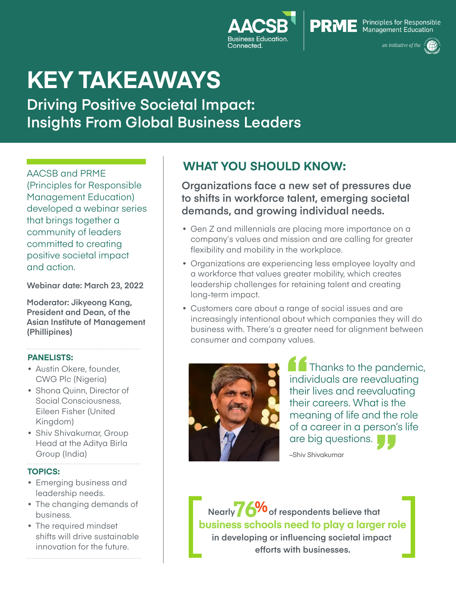



# **KEY TAKEAWAYS**

**Driving Positive Societal Impact: Insights From Global Business Leaders** 

AACSB and PRME (Principles for Responsible Management Education) developed a webinar series that brings together a community of leaders committed to creating positive societal impact and action.

**Webinar date: March 23, 2022**

**Moderator: Jikyeong Kang, President and Dean, of the Asian Institute of Management (Phillipines)**

#### **PANELISTS:**

- Austin Okere, founder, CWG Plc (Nigeria)
- Shona Quinn, Director of Social Consciousness, Eileen Fisher (United Kingdom)
- Shiv Shivakumar, Group Head at the Aditya Birla Group (India)

#### **TOPICS:**

- Emerging business and leadership needs.
- The changing demands of business.
- The required mindset shifts will drive sustainable innovation for the future.

# **WHAT YOU SHOULD KNOW:**

**Organizations face a new set of pressures due to shifts in workforce talent, emerging societal demands, and growing individual needs.** 

- Gen Z and millennials are placing more importance on a company's values and mission and are calling for greater flexibility and mobility in the workplace.
- Organizations are experiencing less employee loyalty and a workforce that values greater mobility, which creates leadership challenges for retaining talent and creating long-term impact.
- Customers care about a range of social issues and are increasingly intentional about which companies they will do business with. There's a greater need for alignment between consumer and company values.



indiv<br>
their<br>
mer "<br>"<br>" Thanks to the pandemic, individuals are reevaluating their lives and reevaluating their careers. What is the meaning of life and the role of a career in a person's life are big questions.

–Shiv Shivakumar

**Nearly 7 6%** of respondents believe that **business schools need to play a larger role in developing or influencing societal impact efforts with businesses.**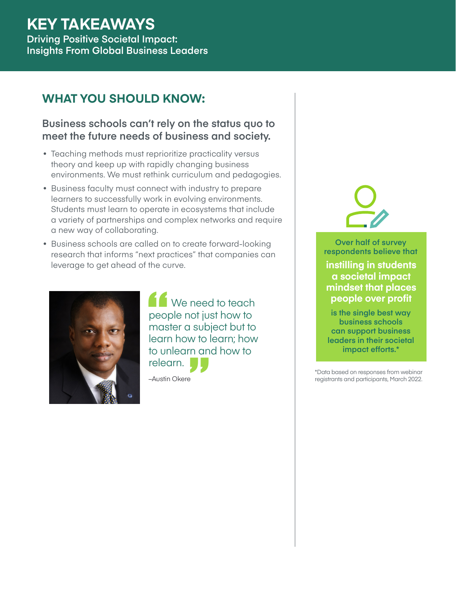#### **KEY TAKEAWAYS Driving Positive Societal Impact: Insights From Global Business Leaders**

### **WHAT YOU SHOULD KNOW:**

#### **Business schools can't rely on the status quo to meet the future needs of business and society.**

- Teaching methods must reprioritize practicality versus theory and keep up with rapidly changing business environments. We must rethink curriculum and pedagogies.
- Business faculty must connect with industry to prepare learners to successfully work in evolving environments. Students must learn to operate in ecosystems that include a variety of partnerships and complex networks and require a new way of collaborating.
- Business schools are called on to create forward-looking research that informs "next practices" that companies can leverage to get ahead of the curve.



Peo<br>
mas<br>
lear "<br>"<br>" We need to teach people not just how to master a subject but to learn how to learn; how to unlearn and how to relearn.

–Austin Okere



**Over half of survey respondents believe that**

**instilling in students a societal impact mindset that places people over profit**

**is the single best way business schools can support business leaders in their societal impact efforts.\***

\*Data based on responses from webinar registrants and participants, March 2022.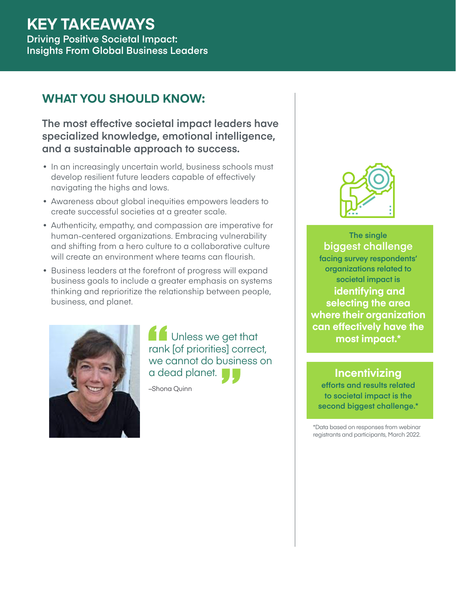# **KEY TAKEAWAYS**

**Driving Positive Societal Impact: Insights From Global Business Leaders** 

# **WHAT YOU SHOULD KNOW:**

**The most effective societal impact leaders have specialized knowledge, emotional intelligence, and a sustainable approach to success.** 

- In an increasingly uncertain world, business schools must develop resilient future leaders capable of effectively navigating the highs and lows.
- Awareness about global inequities empowers leaders to create successful societies at a greater scale.
- Authenticity, empathy, and compassion are imperative for human-centered organizations. Embracing vulnerability and shifting from a hero culture to a collaborative culture will create an environment where teams can flourish.
- Business leaders at the forefront of progress will expand business goals to include a greater emphasis on systems thinking and reprioritize the relationship between people, business, and planet.



rank<br>
we d<br>
a de "<br>"<br>" Unless we get that rank [of priorities] correct, we cannot do business on a dead planet.

–Shona Quinn



**The single biggest challenge facing survey respondents' organizations related to societal impact is identifying and selecting the area where their organization can effectively have the most impact.\***

**Incentivizing efforts and results related to societal impact is the second biggest challenge.\***

\*Data based on responses from webinar registrants and participants, March 2022.